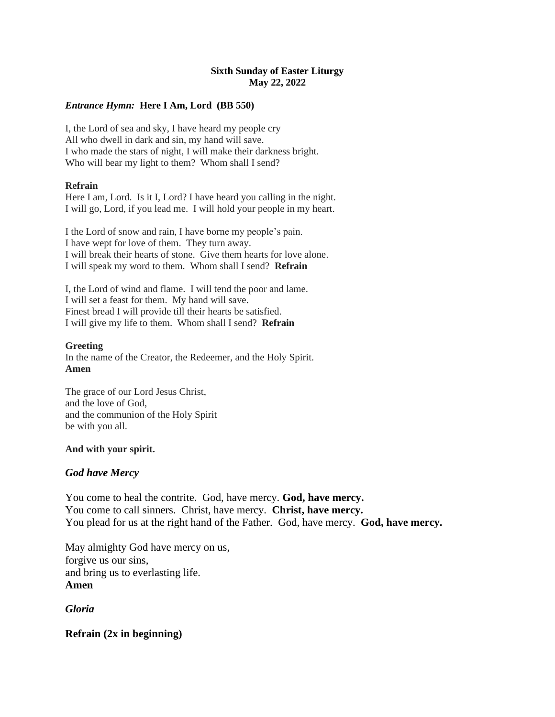### **Sixth Sunday of Easter Liturgy May 22, 2022**

### *Entrance Hymn:* **Here I Am, Lord (BB 550)**

I, the Lord of sea and sky, I have heard my people cry All who dwell in dark and sin, my hand will save. I who made the stars of night, I will make their darkness bright. Who will bear my light to them? Whom shall I send?

### **Refrain**

Here I am, Lord. Is it I, Lord? I have heard you calling in the night. I will go, Lord, if you lead me. I will hold your people in my heart.

I the Lord of snow and rain, I have borne my people's pain. I have wept for love of them. They turn away. I will break their hearts of stone. Give them hearts for love alone. I will speak my word to them. Whom shall I send? **Refrain**

I, the Lord of wind and flame. I will tend the poor and lame. I will set a feast for them. My hand will save. Finest bread I will provide till their hearts be satisfied. I will give my life to them. Whom shall I send? **Refrain**

### **Greeting**

In the name of the Creator, the Redeemer, and the Holy Spirit. **Amen**

The grace of our Lord Jesus Christ, and the love of God, and the communion of the Holy Spirit be with you all.

### **And with your spirit.**

## *God have Mercy*

You come to heal the contrite. God, have mercy. **God, have mercy.** You come to call sinners. Christ, have mercy. **Christ, have mercy.** You plead for us at the right hand of the Father. God, have mercy. **God, have mercy.**

May almighty God have mercy on us, forgive us our sins, and bring us to everlasting life. **Amen**

*Gloria*

**Refrain (2x in beginning)**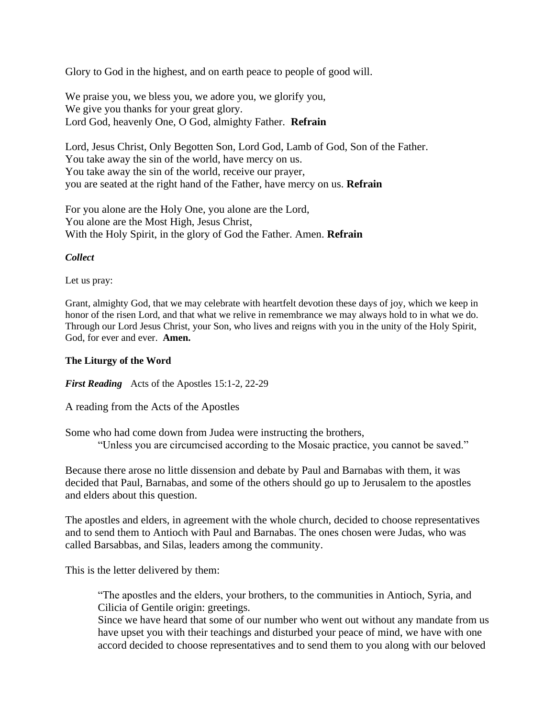Glory to God in the highest, and on earth peace to people of good will.

We praise you, we bless you, we adore you, we glorify you, We give you thanks for your great glory. Lord God, heavenly One, O God, almighty Father. **Refrain**

Lord, Jesus Christ, Only Begotten Son, Lord God, Lamb of God, Son of the Father. You take away the sin of the world, have mercy on us. You take away the sin of the world, receive our prayer, you are seated at the right hand of the Father, have mercy on us. **Refrain**

For you alone are the Holy One, you alone are the Lord, You alone are the Most High, Jesus Christ, With the Holy Spirit, in the glory of God the Father. Amen. **Refrain**

### *Collect*

Let us pray:

Grant, almighty God, that we may celebrate with heartfelt devotion these days of joy, which we keep in honor of the risen Lord, and that what we relive in remembrance we may always hold to in what we do. Through our Lord Jesus Christ, your Son, who lives and reigns with you in the unity of the Holy Spirit, God, for ever and ever. **Amen.**

### **The Liturgy of the Word**

*First Reading* Acts of the Apostles 15:1-2, 22-29

A reading from the Acts of the Apostles

Some who had come down from Judea were instructing the brothers,

"Unless you are circumcised according to the Mosaic practice, you cannot be saved."

Because there arose no little dissension and debate by Paul and Barnabas with them, it was decided that Paul, Barnabas, and some of the others should go up to Jerusalem to the apostles and elders about this question.

The apostles and elders, in agreement with the whole church, decided to choose representatives and to send them to Antioch with Paul and Barnabas. The ones chosen were Judas, who was called Barsabbas, and Silas, leaders among the community.

This is the letter delivered by them:

"The apostles and the elders, your brothers, to the communities in Antioch, Syria, and Cilicia of Gentile origin: greetings.

Since we have heard that some of our number who went out without any mandate from us have upset you with their teachings and disturbed your peace of mind, we have with one accord decided to choose representatives and to send them to you along with our beloved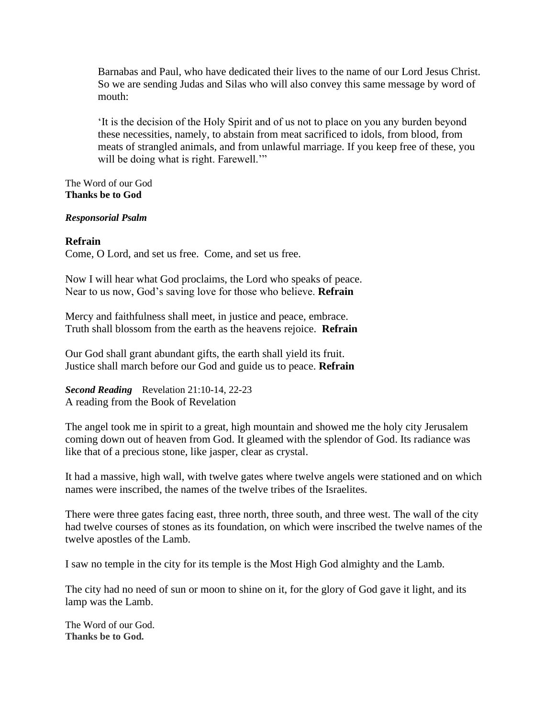Barnabas and Paul, who have dedicated their lives to the name of our Lord Jesus Christ. So we are sending Judas and Silas who will also convey this same message by word of mouth:

'It is the decision of the Holy Spirit and of us not to place on you any burden beyond these necessities, namely, to abstain from meat sacrificed to idols, from blood, from meats of strangled animals, and from unlawful marriage. If you keep free of these, you will be doing what is right. Farewell."

The Word of our God **Thanks be to God**

### *Responsorial Psalm*

## **Refrain**

Come, O Lord, and set us free. Come, and set us free.

Now I will hear what God proclaims, the Lord who speaks of peace. Near to us now, God's saving love for those who believe. **Refrain**

Mercy and faithfulness shall meet, in justice and peace, embrace. Truth shall blossom from the earth as the heavens rejoice. **Refrain**

Our God shall grant abundant gifts, the earth shall yield its fruit. Justice shall march before our God and guide us to peace. **Refrain**

*Second Reading* Revelation 21:10-14, 22-23 A reading from the Book of Revelation

The angel took me in spirit to a great, high mountain and showed me the holy city Jerusalem coming down out of heaven from God. It gleamed with the splendor of God. Its radiance was like that of a precious stone, like jasper, clear as crystal.

It had a massive, high wall, with twelve gates where twelve angels were stationed and on which names were inscribed, the names of the twelve tribes of the Israelites.

There were three gates facing east, three north, three south, and three west. The wall of the city had twelve courses of stones as its foundation, on which were inscribed the twelve names of the twelve apostles of the Lamb.

I saw no temple in the city for its temple is the Most High God almighty and the Lamb.

The city had no need of sun or moon to shine on it, for the glory of God gave it light, and its lamp was the Lamb.

The Word of our God. **Thanks be to God.**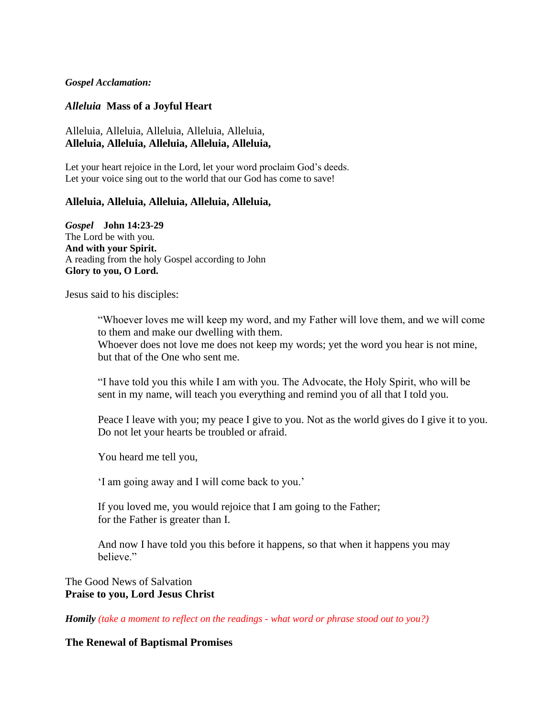*Gospel Acclamation:*

### *Alleluia* **Mass of a Joyful Heart**

## Alleluia, Alleluia, Alleluia, Alleluia, Alleluia, **Alleluia, Alleluia, Alleluia, Alleluia, Alleluia,**

Let your heart rejoice in the Lord, let your word proclaim God's deeds. Let your voice sing out to the world that our God has come to save!

#### **Alleluia, Alleluia, Alleluia, Alleluia, Alleluia,**

*Gospel* **John 14:23-29** The Lord be with you. **And with your Spirit.** A reading from the holy Gospel according to John **Glory to you, O Lord.**

Jesus said to his disciples:

"Whoever loves me will keep my word, and my Father will love them, and we will come to them and make our dwelling with them.

Whoever does not love me does not keep my words; yet the word you hear is not mine, but that of the One who sent me.

"I have told you this while I am with you. The Advocate, the Holy Spirit, who will be sent in my name, will teach you everything and remind you of all that I told you.

Peace I leave with you; my peace I give to you. Not as the world gives do I give it to you. Do not let your hearts be troubled or afraid.

You heard me tell you,

'I am going away and I will come back to you.'

If you loved me, you would rejoice that I am going to the Father; for the Father is greater than I.

And now I have told you this before it happens, so that when it happens you may believe."

## The Good News of Salvation **Praise to you, Lord Jesus Christ**

*Homily (take a moment to reflect on the readings - what word or phrase stood out to you?)*

#### **The Renewal of Baptismal Promises**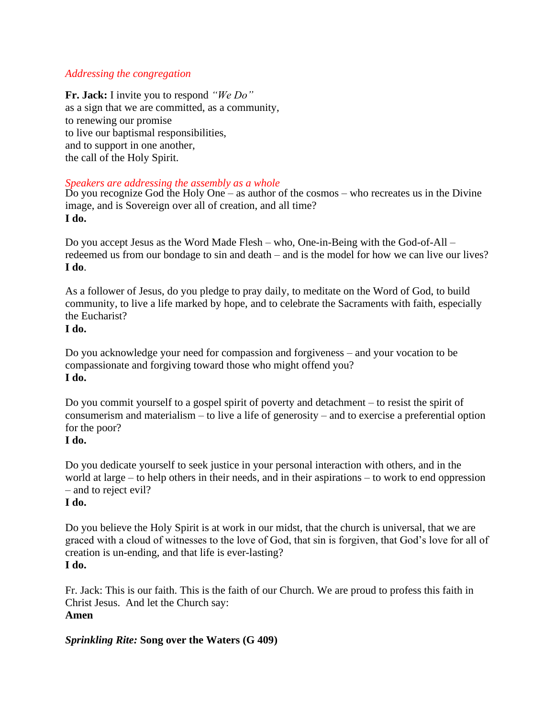# *Addressing the congregation*

**Fr. Jack:** I invite you to respond *"We Do"* as a sign that we are committed, as a community, to renewing our promise to live our baptismal responsibilities, and to support in one another, the call of the Holy Spirit.

# *Speakers are addressing the assembly as a whole*

Do you recognize God the Holy One – as author of the cosmos – who recreates us in the Divine image, and is Sovereign over all of creation, and all time? **I do.**

Do you accept Jesus as the Word Made Flesh – who, One-in-Being with the God-of-All – redeemed us from our bondage to sin and death – and is the model for how we can live our lives? **I do**.

As a follower of Jesus, do you pledge to pray daily, to meditate on the Word of God, to build community, to live a life marked by hope, and to celebrate the Sacraments with faith, especially the Eucharist?

# **I do.**

Do you acknowledge your need for compassion and forgiveness – and your vocation to be compassionate and forgiving toward those who might offend you? **I do.**

Do you commit yourself to a gospel spirit of poverty and detachment – to resist the spirit of consumerism and materialism – to live a life of generosity – and to exercise a preferential option for the poor?

# **I do.**

Do you dedicate yourself to seek justice in your personal interaction with others, and in the world at large – to help others in their needs, and in their aspirations – to work to end oppression – and to reject evil?

# **I do.**

Do you believe the Holy Spirit is at work in our midst, that the church is universal, that we are graced with a cloud of witnesses to the love of God, that sin is forgiven, that God's love for all of creation is un-ending, and that life is ever-lasting? **I do.**

Fr. Jack: This is our faith. This is the faith of our Church. We are proud to profess this faith in Christ Jesus. And let the Church say: **Amen**

# *Sprinkling Rite:* **Song over the Waters (G 409)**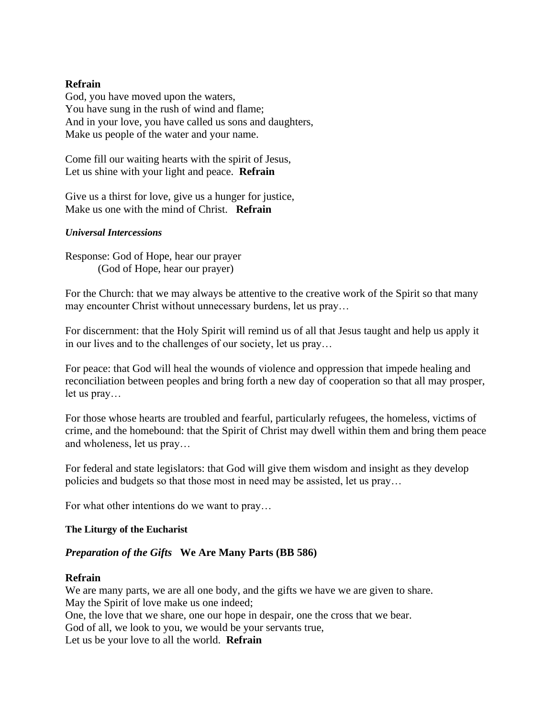## **Refrain**

God, you have moved upon the waters, You have sung in the rush of wind and flame; And in your love, you have called us sons and daughters, Make us people of the water and your name.

Come fill our waiting hearts with the spirit of Jesus, Let us shine with your light and peace. **Refrain**

Give us a thirst for love, give us a hunger for justice, Make us one with the mind of Christ. **Refrain**

### *Universal Intercessions*

Response: God of Hope, hear our prayer (God of Hope, hear our prayer)

For the Church: that we may always be attentive to the creative work of the Spirit so that many may encounter Christ without unnecessary burdens, let us pray…

For discernment: that the Holy Spirit will remind us of all that Jesus taught and help us apply it in our lives and to the challenges of our society, let us pray…

For peace: that God will heal the wounds of violence and oppression that impede healing and reconciliation between peoples and bring forth a new day of cooperation so that all may prosper, let us pray…

For those whose hearts are troubled and fearful, particularly refugees, the homeless, victims of crime, and the homebound: that the Spirit of Christ may dwell within them and bring them peace and wholeness, let us pray…

For federal and state legislators: that God will give them wisdom and insight as they develop policies and budgets so that those most in need may be assisted, let us pray…

For what other intentions do we want to pray…

### **The Liturgy of the Eucharist**

## *Preparation of the Gifts* **We Are Many Parts (BB 586)**

# **Refrain**

We are many parts, we are all one body, and the gifts we have we are given to share. May the Spirit of love make us one indeed; One, the love that we share, one our hope in despair, one the cross that we bear. God of all, we look to you, we would be your servants true, Let us be your love to all the world. **Refrain**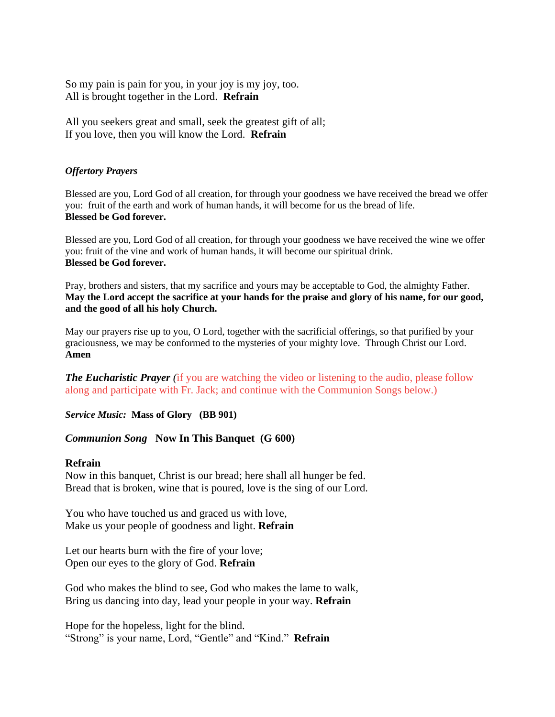So my pain is pain for you, in your joy is my joy, too. All is brought together in the Lord. **Refrain**

All you seekers great and small, seek the greatest gift of all; If you love, then you will know the Lord. **Refrain**

### *Offertory Prayers*

Blessed are you, Lord God of all creation, for through your goodness we have received the bread we offer you: fruit of the earth and work of human hands, it will become for us the bread of life. **Blessed be God forever.**

Blessed are you, Lord God of all creation, for through your goodness we have received the wine we offer you: fruit of the vine and work of human hands, it will become our spiritual drink. **Blessed be God forever.**

Pray, brothers and sisters, that my sacrifice and yours may be acceptable to God, the almighty Father. **May the Lord accept the sacrifice at your hands for the praise and glory of his name, for our good, and the good of all his holy Church.**

May our prayers rise up to you, O Lord, together with the sacrificial offerings, so that purified by your graciousness, we may be conformed to the mysteries of your mighty love. Through Christ our Lord. **Amen**

*The Eucharistic Prayer* (if you are watching the video or listening to the audio, please follow along and participate with Fr. Jack; and continue with the Communion Songs below.)

*Service Music:* **Mass of Glory (BB 901)**

## *Communion Song* **Now In This Banquet (G 600)**

### **Refrain**

Now in this banquet, Christ is our bread; here shall all hunger be fed. Bread that is broken, wine that is poured, love is the sing of our Lord.

You who have touched us and graced us with love, Make us your people of goodness and light. **Refrain**

Let our hearts burn with the fire of your love; Open our eyes to the glory of God. **Refrain**

God who makes the blind to see, God who makes the lame to walk, Bring us dancing into day, lead your people in your way. **Refrain**

Hope for the hopeless, light for the blind. "Strong" is your name, Lord, "Gentle" and "Kind." **Refrain**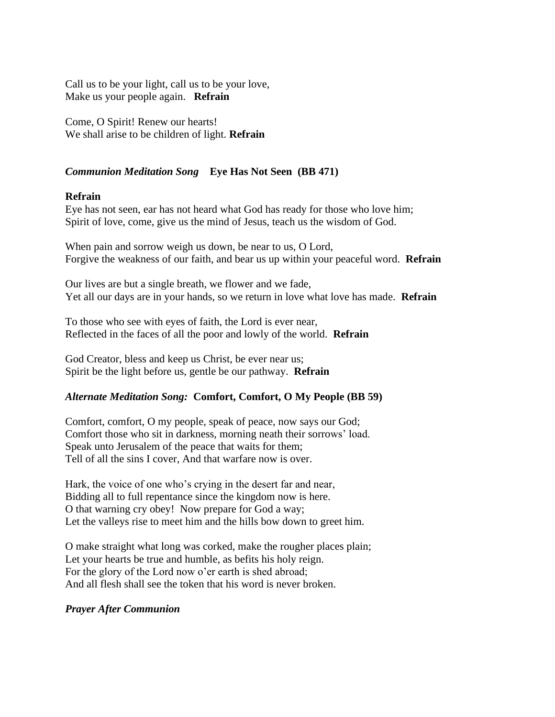Call us to be your light, call us to be your love, Make us your people again. **Refrain**

Come, O Spirit! Renew our hearts! We shall arise to be children of light. **Refrain**

# *Communion Meditation Song* **Eye Has Not Seen (BB 471)**

## **Refrain**

Eye has not seen, ear has not heard what God has ready for those who love him; Spirit of love, come, give us the mind of Jesus, teach us the wisdom of God.

When pain and sorrow weigh us down, be near to us, O Lord, Forgive the weakness of our faith, and bear us up within your peaceful word. **Refrain**

Our lives are but a single breath, we flower and we fade, Yet all our days are in your hands, so we return in love what love has made. **Refrain**

To those who see with eyes of faith, the Lord is ever near, Reflected in the faces of all the poor and lowly of the world. **Refrain**

God Creator, bless and keep us Christ, be ever near us; Spirit be the light before us, gentle be our pathway. **Refrain**

# *Alternate Meditation Song:* **Comfort, Comfort, O My People (BB 59)**

Comfort, comfort, O my people, speak of peace, now says our God; Comfort those who sit in darkness, morning neath their sorrows' load. Speak unto Jerusalem of the peace that waits for them; Tell of all the sins I cover, And that warfare now is over.

Hark, the voice of one who's crying in the desert far and near, Bidding all to full repentance since the kingdom now is here. O that warning cry obey! Now prepare for God a way; Let the valleys rise to meet him and the hills bow down to greet him.

O make straight what long was corked, make the rougher places plain; Let your hearts be true and humble, as befits his holy reign. For the glory of the Lord now o'er earth is shed abroad; And all flesh shall see the token that his word is never broken.

## *Prayer After Communion*